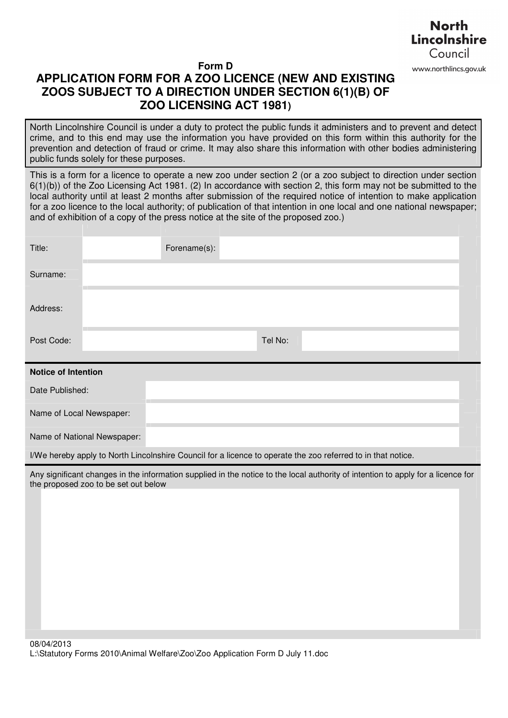

## **Form D APPLICATION FORM FOR A ZOO LICENCE (NEW AND EXISTING ZOOS SUBJECT TO A DIRECTION UNDER SECTION 6(1)(B) OF ZOO LICENSING ACT 1981)**

North Lincolnshire Council is under a duty to protect the public funds it administers and to prevent and detect crime, and to this end may use the information you have provided on this form within this authority for the prevention and detection of fraud or crime. It may also share this information with other bodies administering public funds solely for these purposes.

This is a form for a licence to operate a new zoo under section 2 (or a zoo subject to direction under section 6(1)(b)) of the Zoo Licensing Act 1981. (2) In accordance with section 2, this form may not be submitted to the local authority until at least 2 months after submission of the required notice of intention to make application for a zoo licence to the local authority; of publication of that intention in one local and one national newspaper; and of exhibition of a copy of the press notice at the site of the proposed zoo.)

| Title:                                                                                                                                                                   |                             | Forename(s): |  |         |  |  |  |  |
|--------------------------------------------------------------------------------------------------------------------------------------------------------------------------|-----------------------------|--------------|--|---------|--|--|--|--|
| Surname:                                                                                                                                                                 |                             |              |  |         |  |  |  |  |
| Address:                                                                                                                                                                 |                             |              |  |         |  |  |  |  |
| Post Code:                                                                                                                                                               |                             |              |  | Tel No: |  |  |  |  |
| <b>Notice of Intention</b>                                                                                                                                               |                             |              |  |         |  |  |  |  |
| Date Published:                                                                                                                                                          |                             |              |  |         |  |  |  |  |
| Name of Local Newspaper:                                                                                                                                                 |                             |              |  |         |  |  |  |  |
|                                                                                                                                                                          | Name of National Newspaper: |              |  |         |  |  |  |  |
| I/We hereby apply to North Lincolnshire Council for a licence to operate the zoo referred to in that notice.                                                             |                             |              |  |         |  |  |  |  |
| Any significant changes in the information supplied in the notice to the local authority of intention to apply for a licence for<br>the proposed zoo to be set out below |                             |              |  |         |  |  |  |  |